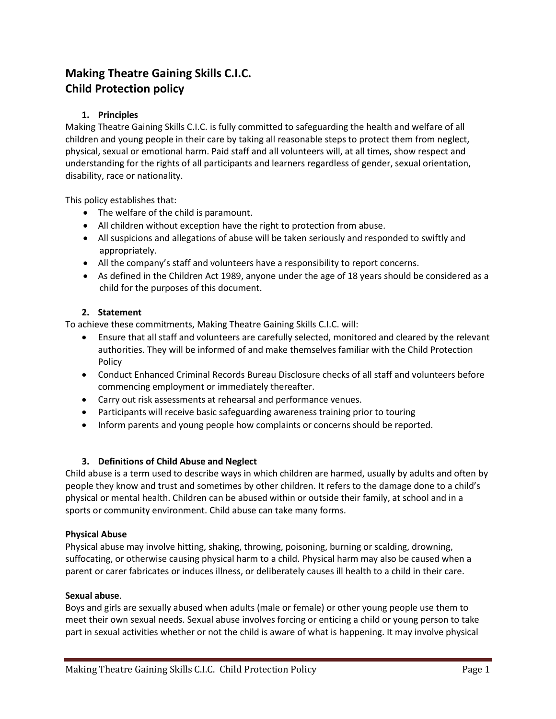# **Making Theatre Gaining Skills C.I.C. Child Protection policy**

# **1. Principles**

Making Theatre Gaining Skills C.I.C. is fully committed to safeguarding the health and welfare of all children and young people in their care by taking all reasonable steps to protect them from neglect, physical, sexual or emotional harm. Paid staff and all volunteers will, at all times, show respect and understanding for the rights of all participants and learners regardless of gender, sexual orientation, disability, race or nationality.

This policy establishes that:

- The welfare of the child is paramount.
- All children without exception have the right to protection from abuse.
- All suspicions and allegations of abuse will be taken seriously and responded to swiftly and appropriately.
- All the company's staff and volunteers have a responsibility to report concerns.
- As defined in the Children Act 1989, anyone under the age of 18 years should be considered as a child for the purposes of this document.

# **2. Statement**

To achieve these commitments, Making Theatre Gaining Skills C.I.C. will:

- Ensure that all staff and volunteers are carefully selected, monitored and cleared by the relevant authorities. They will be informed of and make themselves familiar with the Child Protection Policy
- Conduct Enhanced Criminal Records Bureau Disclosure checks of all staff and volunteers before commencing employment or immediately thereafter.
- Carry out risk assessments at rehearsal and performance venues.
- Participants will receive basic safeguarding awareness training prior to touring
- Inform parents and young people how complaints or concerns should be reported.

# **3. Definitions of Child Abuse and Neglect**

Child abuse is a term used to describe ways in which children are harmed, usually by adults and often by people they know and trust and sometimes by other children. It refers to the damage done to a child's physical or mental health. Children can be abused within or outside their family, at school and in a sports or community environment. Child abuse can take many forms.

#### **Physical Abuse**

Physical abuse may involve hitting, shaking, throwing, poisoning, burning or scalding, drowning, suffocating, or otherwise causing physical harm to a child. Physical harm may also be caused when a parent or carer fabricates or induces illness, or deliberately causes ill health to a child in their care.

#### **Sexual abuse**.

Boys and girls are sexually abused when adults (male or female) or other young people use them to meet their own sexual needs. Sexual abuse involves forcing or enticing a child or young person to take part in sexual activities whether or not the child is aware of what is happening. It may involve physical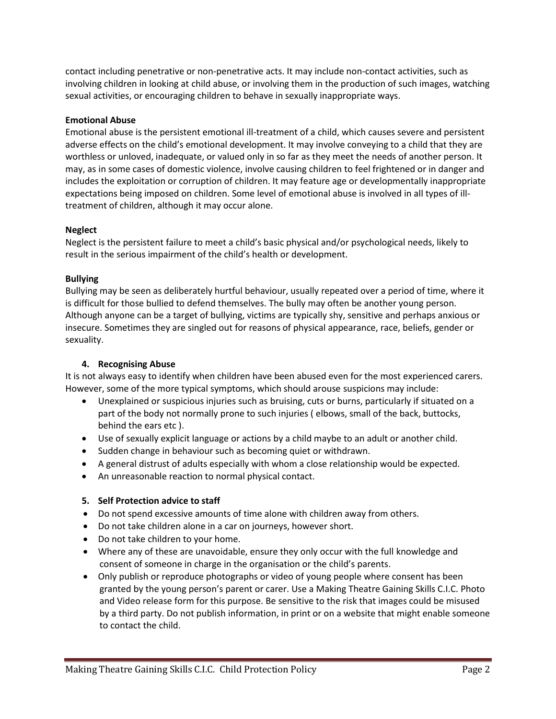contact including penetrative or non-penetrative acts. It may include non-contact activities, such as involving children in looking at child abuse, or involving them in the production of such images, watching sexual activities, or encouraging children to behave in sexually inappropriate ways.

### **Emotional Abuse**

Emotional abuse is the persistent emotional ill-treatment of a child, which causes severe and persistent adverse effects on the child's emotional development. It may involve conveying to a child that they are worthless or unloved, inadequate, or valued only in so far as they meet the needs of another person. It may, as in some cases of domestic violence, involve causing children to feel frightened or in danger and includes the exploitation or corruption of children. It may feature age or developmentally inappropriate expectations being imposed on children. Some level of emotional abuse is involved in all types of illtreatment of children, although it may occur alone.

## **Neglect**

Neglect is the persistent failure to meet a child's basic physical and/or psychological needs, likely to result in the serious impairment of the child's health or development.

## **Bullying**

Bullying may be seen as deliberately hurtful behaviour, usually repeated over a period of time, where it is difficult for those bullied to defend themselves. The bully may often be another young person. Although anyone can be a target of bullying, victims are typically shy, sensitive and perhaps anxious or insecure. Sometimes they are singled out for reasons of physical appearance, race, beliefs, gender or sexuality.

# **4. Recognising Abuse**

It is not always easy to identify when children have been abused even for the most experienced carers. However, some of the more typical symptoms, which should arouse suspicions may include:

- Unexplained or suspicious injuries such as bruising, cuts or burns, particularly if situated on a part of the body not normally prone to such injuries ( elbows, small of the back, buttocks, behind the ears etc ).
- Use of sexually explicit language or actions by a child maybe to an adult or another child.
- Sudden change in behaviour such as becoming quiet or withdrawn.
- A general distrust of adults especially with whom a close relationship would be expected.
- An unreasonable reaction to normal physical contact.

#### **5. Self Protection advice to staff**

- Do not spend excessive amounts of time alone with children away from others.
- Do not take children alone in a car on journeys, however short.
- Do not take children to your home.
- Where any of these are unavoidable, ensure they only occur with the full knowledge and consent of someone in charge in the organisation or the child's parents.
- Only publish or reproduce photographs or video of young people where consent has been granted by the young person's parent or carer. Use a Making Theatre Gaining Skills C.I.C. Photo and Video release form for this purpose. Be sensitive to the risk that images could be misused by a third party. Do not publish information, in print or on a website that might enable someone to contact the child.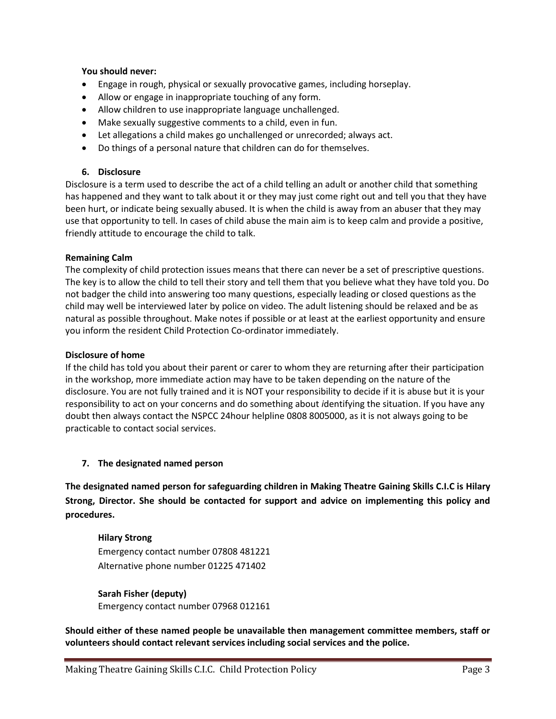#### **You should never:**

- Engage in rough, physical or sexually provocative games, including horseplay.
- Allow or engage in inappropriate touching of any form.
- Allow children to use inappropriate language unchallenged.
- Make sexually suggestive comments to a child, even in fun.
- Let allegations a child makes go unchallenged or unrecorded; always act.
- Do things of a personal nature that children can do for themselves.

#### **6. Disclosure**

Disclosure is a term used to describe the act of a child telling an adult or another child that something has happened and they want to talk about it or they may just come right out and tell you that they have been hurt, or indicate being sexually abused. It is when the child is away from an abuser that they may use that opportunity to tell. In cases of child abuse the main aim is to keep calm and provide a positive, friendly attitude to encourage the child to talk.

#### **Remaining Calm**

The complexity of child protection issues means that there can never be a set of prescriptive questions. The key is to allow the child to tell their story and tell them that you believe what they have told you. Do not badger the child into answering too many questions, especially leading or closed questions as the child may well be interviewed later by police on video. The adult listening should be relaxed and be as natural as possible throughout. Make notes if possible or at least at the earliest opportunity and ensure you inform the resident Child Protection Co-ordinator immediately.

#### **Disclosure of home**

If the child has told you about their parent or carer to whom they are returning after their participation in the workshop, more immediate action may have to be taken depending on the nature of the disclosure. You are not fully trained and it is NOT your responsibility to decide if it is abuse but it is your responsibility to act on your concerns and do something about *i*dentifying the situation. If you have any doubt then always contact the NSPCC 24hour helpline 0808 8005000, as it is not always going to be practicable to contact social services.

#### **7. The designated named person**

**The designated named person for safeguarding children in Making Theatre Gaining Skills C.I.C is Hilary Strong, Director. She should be contacted for support and advice on implementing this policy and procedures.**

# **Hilary Strong**  Emergency contact number 07808 481221 Alternative phone number 01225 471402

**Sarah Fisher (deputy)** Emergency contact number 07968 012161

**Should either of these named people be unavailable then management committee members, staff or volunteers should contact relevant services including social services and the police.**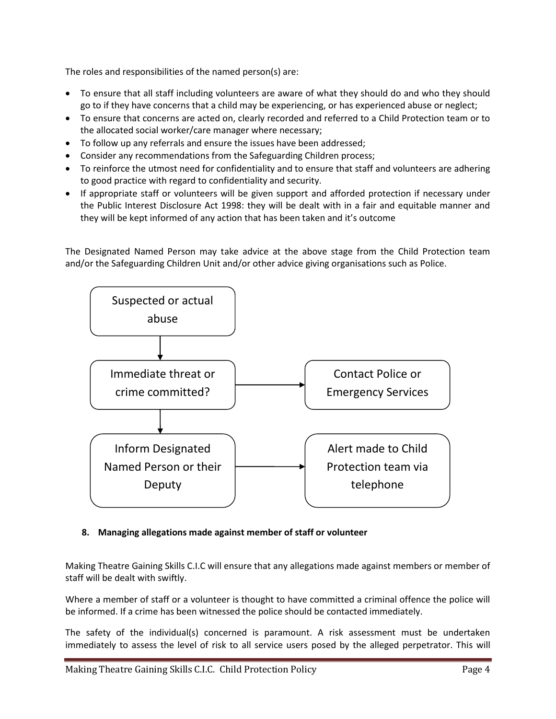The roles and responsibilities of the named person(s) are:

- To ensure that all staff including volunteers are aware of what they should do and who they should go to if they have concerns that a child may be experiencing, or has experienced abuse or neglect;
- To ensure that concerns are acted on, clearly recorded and referred to a Child Protection team or to the allocated social worker/care manager where necessary;
- To follow up any referrals and ensure the issues have been addressed;
- Consider any recommendations from the Safeguarding Children process;
- To reinforce the utmost need for confidentiality and to ensure that staff and volunteers are adhering to good practice with regard to confidentiality and security.
- If appropriate staff or volunteers will be given support and afforded protection if necessary under the Public Interest Disclosure Act 1998: they will be dealt with in a fair and equitable manner and they will be kept informed of any action that has been taken and it's outcome

The Designated Named Person may take advice at the above stage from the Child Protection team and/or the Safeguarding Children Unit and/or other advice giving organisations such as Police.



# **8. Managing allegations made against member of staff or volunteer**

Making Theatre Gaining Skills C.I.C will ensure that any allegations made against members or member of staff will be dealt with swiftly.

Where a member of staff or a volunteer is thought to have committed a criminal offence the police will be informed. If a crime has been witnessed the police should be contacted immediately.

The safety of the individual(s) concerned is paramount. A risk assessment must be undertaken immediately to assess the level of risk to all service users posed by the alleged perpetrator. This will